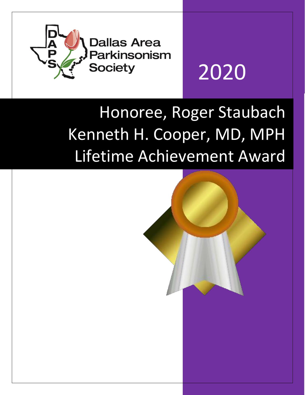

# 2020

## Honoree, Roger Staubach Kenneth H. Cooper, MD, MPH Lifetime Achievement Award

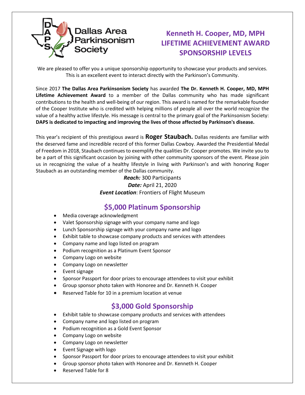

### **Kenneth H. Cooper, MD, MPH LIFETIME ACHIEVEMENT AWARD SPONSORSHIP LEVELS**

We are pleased to offer you a unique sponsorship opportunity to showcase your products and services. This is an excellent event to interact directly with the Parkinson's Community.

Since 2017 **The Dallas Area Parkinsonism Society** has awarded **The Dr. Kenneth H. Cooper, MD, MPH Lifetime Achievement Award** to a member of the Dallas community who has made significant contributions to the health and well-being of our region. This award is named for the remarkable founder of the Cooper Institute who is credited with helping millions of people all over the world recognize the value of a healthy active lifestyle. His message is central to the primary goal of the Parkinsonism Society: **DAPS is dedicated to impacting and improving the lives of those affected by Parkinson's disease.** 

This year's recipient of this prestigious award is **Roger Staubach.** Dallas residents are familiar with the deserved fame and incredible record of this former Dallas Cowboy. Awarded the Presidential Medal of Freedom in 2018, Staubach continues to exemplify the qualities Dr. Cooper promotes. We invite you to be a part of this significant occasion by joining with other community sponsors of the event. Please join us in recognizing the value of a healthy lifestyle in living with Parkinson's and with honoring Roger Staubach as an outstanding member of the Dallas community.

> *Reach:* 300 Participants *Date:* April 21, 2020 *Event Location*: Frontiers of Flight Museum

#### **\$5,000 Platinum Sponsorship**

- Media coverage acknowledgment
- Valet Sponsorship signage with your company name and logo
- Lunch Sponsorship signage with your company name and logo
- Exhibit table to showcase company products and services with attendees
- Company name and logo listed on program
- Podium recognition as a Platinum Event Sponsor
- Company Logo on website
- Company Logo on newsletter
- Event signage
- Sponsor Passport for door prizes to encourage attendees to visit your exhibit
- Group sponsor photo taken with Honoree and Dr. Kenneth H. Cooper
- Reserved Table for 10 in a premium location at venue

#### **\$3,000 Gold Sponsorship**

- Exhibit table to showcase company products and services with attendees
- Company name and logo listed on program
- Podium recognition as a Gold Event Sponsor
- Company Logo on website
- Company Logo on newsletter
- Event Signage with logo
- Sponsor Passport for door prizes to encourage attendees to visit your exhibit
- Group sponsor photo taken with Honoree and Dr. Kenneth H. Cooper
- Reserved Table for 8